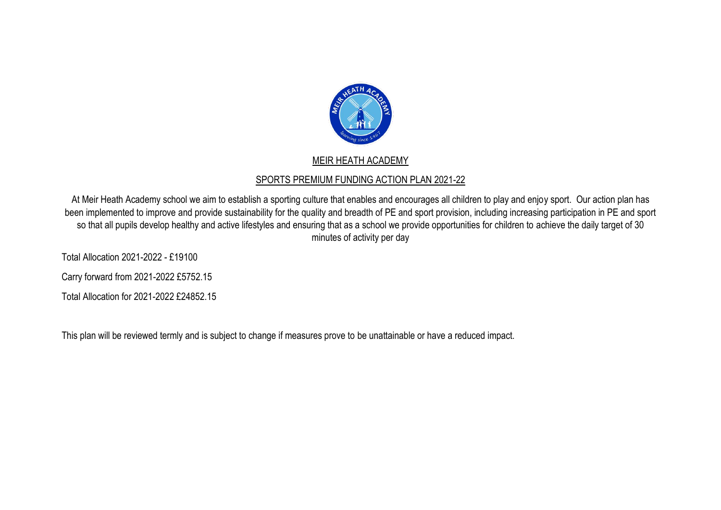

## MEIR HEATH ACADEMY

## SPORTS PREMIUM FUNDING ACTION PLAN 2021-22

At Meir Heath Academy school we aim to establish a sporting culture that enables and encourages all children to play and enjoy sport. Our action plan has been implemented to improve and provide sustainability for the quality and breadth of PE and sport provision, including increasing participation in PE and sport so that all pupils develop healthy and active lifestyles and ensuring that as a school we provide opportunities for children to achieve the daily target of 30 minutes of activity per day

Total Allocation 2021-2022 - £19100

Carry forward from 2021-2022 £5752.15

Total Allocation for 2021-2022 £24852.15

This plan will be reviewed termly and is subject to change if measures prove to be unattainable or have a reduced impact.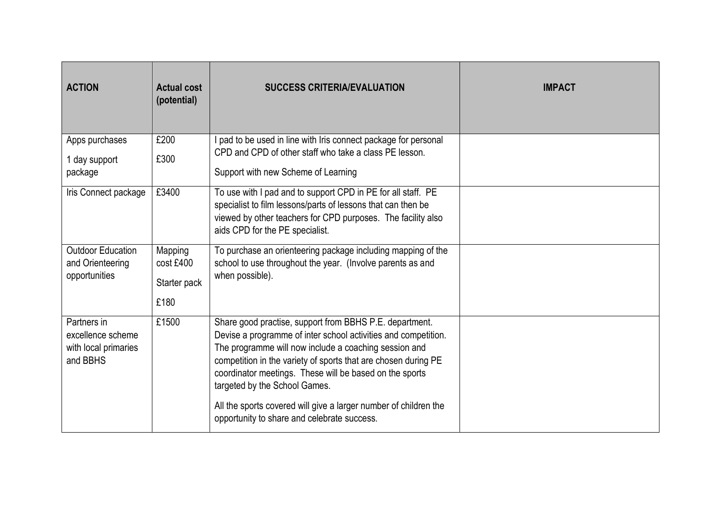| <b>ACTION</b>                                                        | <b>Actual cost</b><br>(potential)            | <b>SUCCESS CRITERIA/EVALUATION</b>                                                                                                                                                                                                                                                                                                                                                                                                                                  | <b>IMPACT</b> |
|----------------------------------------------------------------------|----------------------------------------------|---------------------------------------------------------------------------------------------------------------------------------------------------------------------------------------------------------------------------------------------------------------------------------------------------------------------------------------------------------------------------------------------------------------------------------------------------------------------|---------------|
| Apps purchases<br>1 day support<br>package                           | £200<br>£300                                 | pad to be used in line with Iris connect package for personal<br>CPD and CPD of other staff who take a class PE lesson.<br>Support with new Scheme of Learning                                                                                                                                                                                                                                                                                                      |               |
| Iris Connect package                                                 | £3400                                        | To use with I pad and to support CPD in PE for all staff. PE<br>specialist to film lessons/parts of lessons that can then be<br>viewed by other teachers for CPD purposes. The facility also<br>aids CPD for the PE specialist.                                                                                                                                                                                                                                     |               |
| <b>Outdoor Education</b><br>and Orienteering<br>opportunities        | Mapping<br>cost £400<br>Starter pack<br>£180 | To purchase an orienteering package including mapping of the<br>school to use throughout the year. (Involve parents as and<br>when possible).                                                                                                                                                                                                                                                                                                                       |               |
| Partners in<br>excellence scheme<br>with local primaries<br>and BBHS | £1500                                        | Share good practise, support from BBHS P.E. department.<br>Devise a programme of inter school activities and competition.<br>The programme will now include a coaching session and<br>competition in the variety of sports that are chosen during PE<br>coordinator meetings. These will be based on the sports<br>targeted by the School Games.<br>All the sports covered will give a larger number of children the<br>opportunity to share and celebrate success. |               |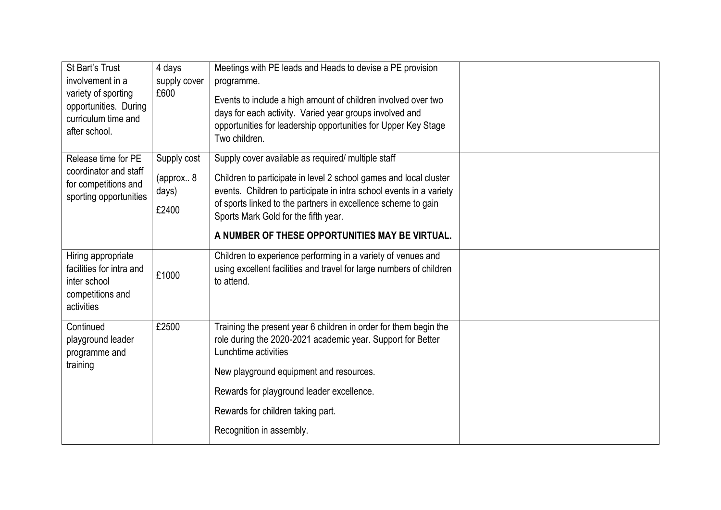| St Bart's Trust<br>involvement in a<br>variety of sporting<br>opportunities. During<br>curriculum time and<br>after school. | 4 days<br>supply cover<br>£600    | Meetings with PE leads and Heads to devise a PE provision<br>programme.<br>Events to include a high amount of children involved over two<br>days for each activity. Varied year groups involved and<br>opportunities for leadership opportunities for Upper Key Stage<br>Two children. |  |
|-----------------------------------------------------------------------------------------------------------------------------|-----------------------------------|----------------------------------------------------------------------------------------------------------------------------------------------------------------------------------------------------------------------------------------------------------------------------------------|--|
| Release time for PE<br>coordinator and staff<br>for competitions and<br>sporting opportunities                              | Supply cost<br>(approx 8<br>days) | Supply cover available as required/ multiple staff<br>Children to participate in level 2 school games and local cluster<br>events. Children to participate in intra school events in a variety                                                                                         |  |
|                                                                                                                             | £2400                             | of sports linked to the partners in excellence scheme to gain<br>Sports Mark Gold for the fifth year.<br>A NUMBER OF THESE OPPORTUNITIES MAY BE VIRTUAL.                                                                                                                               |  |
|                                                                                                                             |                                   |                                                                                                                                                                                                                                                                                        |  |
| Hiring appropriate<br>facilities for intra and<br>inter school<br>competitions and<br>activities                            | £1000                             | Children to experience performing in a variety of venues and<br>using excellent facilities and travel for large numbers of children<br>to attend.                                                                                                                                      |  |
| Continued<br>playground leader<br>programme and                                                                             | £2500                             | Training the present year 6 children in order for them begin the<br>role during the 2020-2021 academic year. Support for Better<br>Lunchtime activities                                                                                                                                |  |
| training                                                                                                                    |                                   | New playground equipment and resources.                                                                                                                                                                                                                                                |  |
|                                                                                                                             |                                   | Rewards for playground leader excellence.                                                                                                                                                                                                                                              |  |
|                                                                                                                             |                                   | Rewards for children taking part.                                                                                                                                                                                                                                                      |  |
|                                                                                                                             |                                   | Recognition in assembly.                                                                                                                                                                                                                                                               |  |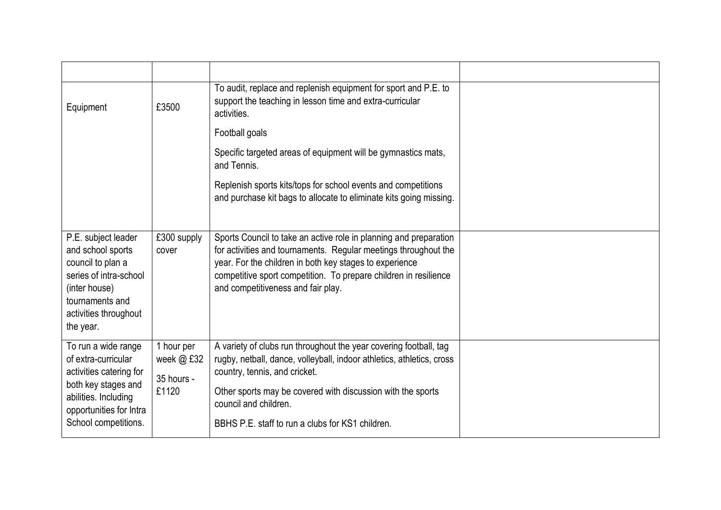| Equipment                                                                                                                                                               | £3500                                           | To audit, replace and replenish equipment for sport and P.E. to<br>support the teaching in lesson time and extra-curricular<br>activities.                                                                                                                                                                              |  |
|-------------------------------------------------------------------------------------------------------------------------------------------------------------------------|-------------------------------------------------|-------------------------------------------------------------------------------------------------------------------------------------------------------------------------------------------------------------------------------------------------------------------------------------------------------------------------|--|
|                                                                                                                                                                         |                                                 | Football goals                                                                                                                                                                                                                                                                                                          |  |
|                                                                                                                                                                         |                                                 | Specific targeted areas of equipment will be gymnastics mats,<br>and Tennis.                                                                                                                                                                                                                                            |  |
|                                                                                                                                                                         |                                                 | Replenish sports kits/tops for school events and competitions<br>and purchase kit bags to allocate to eliminate kits going missing.                                                                                                                                                                                     |  |
| P.E. subject leader<br>and school sports<br>council to plan a<br>series of intra-school<br>(inter house)<br>tournaments and<br>activities throughout<br>the year.       | £300 supply<br>cover                            | Sports Council to take an active role in planning and preparation<br>for activities and tournaments. Regular meetings throughout the<br>year. For the children in both key stages to experience<br>competitive sport competition. To prepare children in resilience<br>and competitiveness and fair play.               |  |
| To run a wide range<br>of extra-curricular<br>activities catering for<br>both key stages and<br>abilities. Including<br>opportunities for Intra<br>School competitions. | 1 hour per<br>week @ £32<br>35 hours -<br>£1120 | A variety of clubs run throughout the year covering football, tag<br>rugby, netball, dance, volleyball, indoor athletics, athletics, cross<br>country, tennis, and cricket.<br>Other sports may be covered with discussion with the sports<br>council and children.<br>BBHS P.E. staff to run a clubs for KS1 children. |  |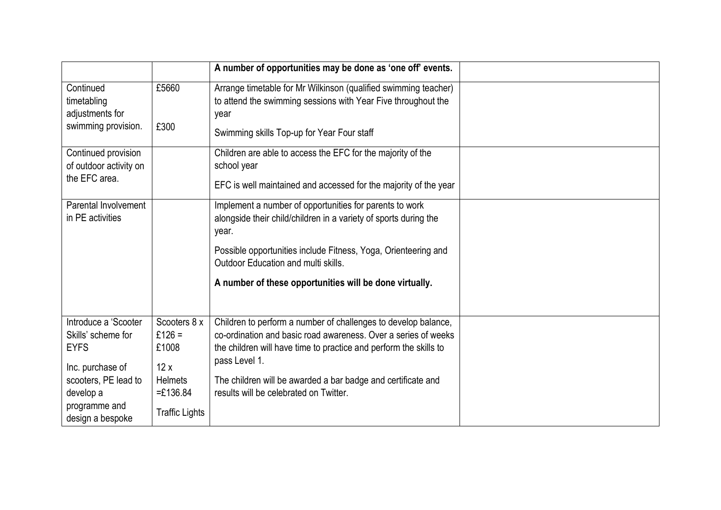|                                                                                                                                                         |                                                                                                 | A number of opportunities may be done as 'one off' events.                                                                                                                                                                                                                                                                       |  |
|---------------------------------------------------------------------------------------------------------------------------------------------------------|-------------------------------------------------------------------------------------------------|----------------------------------------------------------------------------------------------------------------------------------------------------------------------------------------------------------------------------------------------------------------------------------------------------------------------------------|--|
| Continued<br>timetabling<br>adjustments for<br>swimming provision.                                                                                      | £5660<br>£300                                                                                   | Arrange timetable for Mr Wilkinson (qualified swimming teacher)<br>to attend the swimming sessions with Year Five throughout the<br>year<br>Swimming skills Top-up for Year Four staff                                                                                                                                           |  |
| Continued provision<br>of outdoor activity on<br>the EFC area.                                                                                          |                                                                                                 | Children are able to access the EFC for the majority of the<br>school year<br>EFC is well maintained and accessed for the majority of the year                                                                                                                                                                                   |  |
| Parental Involvement<br>in PE activities                                                                                                                |                                                                                                 | Implement a number of opportunities for parents to work<br>alongside their child/children in a variety of sports during the<br>year.<br>Possible opportunities include Fitness, Yoga, Orienteering and<br>Outdoor Education and multi skills.<br>A number of these opportunities will be done virtually.                         |  |
| Introduce a 'Scooter<br>Skills' scheme for<br><b>EYFS</b><br>Inc. purchase of<br>scooters, PE lead to<br>develop a<br>programme and<br>design a bespoke | Scooters 8 x<br>£126 =<br>£1008<br>12x<br><b>Helmets</b><br>$=£136.84$<br><b>Traffic Lights</b> | Children to perform a number of challenges to develop balance,<br>co-ordination and basic road awareness. Over a series of weeks<br>the children will have time to practice and perform the skills to<br>pass Level 1.<br>The children will be awarded a bar badge and certificate and<br>results will be celebrated on Twitter. |  |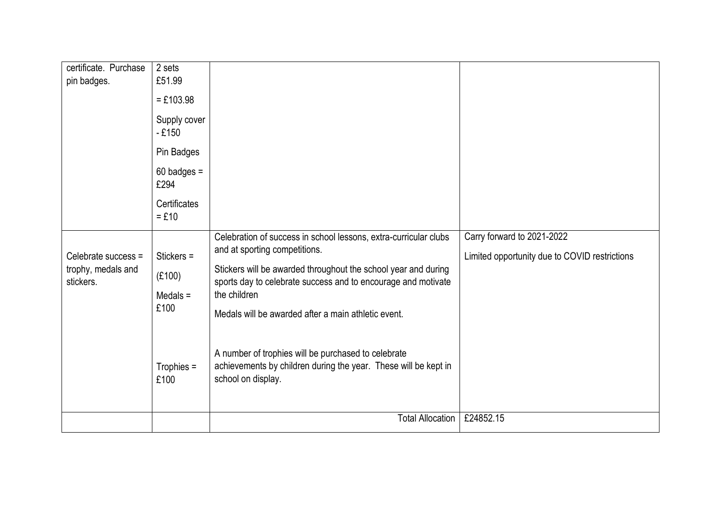| certificate. Purchase<br>pin badges.                   | 2 sets<br>£51.99<br>$= £103.98$<br>Supply cover<br>$-£150$<br>Pin Badges<br>$60$ badges =<br>£294<br>Certificates<br>$=$ £10 |                                                                                                                                                                                                                                                                                                                                                                                                                                                             |                                                                             |
|--------------------------------------------------------|------------------------------------------------------------------------------------------------------------------------------|-------------------------------------------------------------------------------------------------------------------------------------------------------------------------------------------------------------------------------------------------------------------------------------------------------------------------------------------------------------------------------------------------------------------------------------------------------------|-----------------------------------------------------------------------------|
| Celebrate success =<br>trophy, medals and<br>stickers. | Stickers $=$<br>(E100)<br>Medals $=$<br>£100<br>Trophies $=$<br>£100                                                         | Celebration of success in school lessons, extra-curricular clubs<br>and at sporting competitions.<br>Stickers will be awarded throughout the school year and during<br>sports day to celebrate success and to encourage and motivate<br>the children<br>Medals will be awarded after a main athletic event.<br>A number of trophies will be purchased to celebrate<br>achievements by children during the year. These will be kept in<br>school on display. | Carry forward to 2021-2022<br>Limited opportunity due to COVID restrictions |
|                                                        |                                                                                                                              | Total Allocation                                                                                                                                                                                                                                                                                                                                                                                                                                            | £24852.15                                                                   |